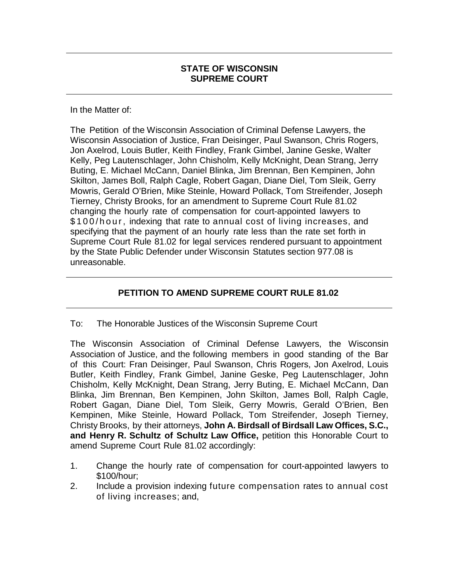#### **STATE OF WISCONSIN SUPREME COURT**

In the Matter of:

The Petition of the Wisconsin Association of Criminal Defense Lawyers, the Wisconsin Association of Justice, Fran Deisinger, Paul Swanson, Chris Rogers, Jon Axelrod, Louis Butler, Keith Findley, Frank Gimbel, Janine Geske, Walter Kelly, Peg Lautenschlager, John Chisholm, Kelly McKnight, Dean Strang, Jerry Buting, E. Michael McCann, Daniel Blinka, Jim Brennan, Ben Kempinen, John Skilton, James Boll, Ralph Cagle, Robert Gagan, Diane Diel, Tom Sleik, Gerry Mowris, Gerald O'Brien, Mike Steinle, Howard Pollack, Tom Streifender, Joseph Tierney, Christy Brooks, for an amendment to Supreme Court Rule 81.02 changing the hourly rate of compensation for court-appointed lawyers to \$100/hour, indexing that rate to annual cost of living increases, and specifying that the payment of an hourly rate less than the rate set forth in Supreme Court Rule 81.02 for legal services rendered pursuant to appointment by the State Public Defender under Wisconsin Statutes section 977.08 is unreasonable.

## **PETITION TO AMEND SUPREME COURT RULE 81.02**

#### To: The Honorable Justices of the Wisconsin Supreme Court

The Wisconsin Association of Criminal Defense Lawyers, the Wisconsin Association of Justice, and the following members in good standing of the Bar of this Court: Fran Deisinger, Paul Swanson, Chris Rogers, Jon Axelrod, Louis Butler, Keith Findley, Frank Gimbel, Janine Geske, Peg Lautenschlager, John Chisholm, Kelly McKnight, Dean Strang, Jerry Buting, E. Michael McCann, Dan Blinka, Jim Brennan, Ben Kempinen, John Skilton, James Boll, Ralph Cagle, Robert Gagan, Diane Diel, Tom Sleik, Gerry Mowris, Gerald O'Brien, Ben Kempinen, Mike Steinle, Howard Pollack, Tom Streifender, Joseph Tierney, Christy Brooks, by their attorneys, **John A. Birdsall of Birdsall Law Offices, S.C., and Henry R. Schultz of Schultz Law Office,** petition this Honorable Court to amend Supreme Court Rule 81.02 accordingly:

- 1. Change the hourly rate of compensation for court-appointed lawyers to \$100/hour;
- 2. Include a provision indexing future compensation rates to annual cost of living increases; and,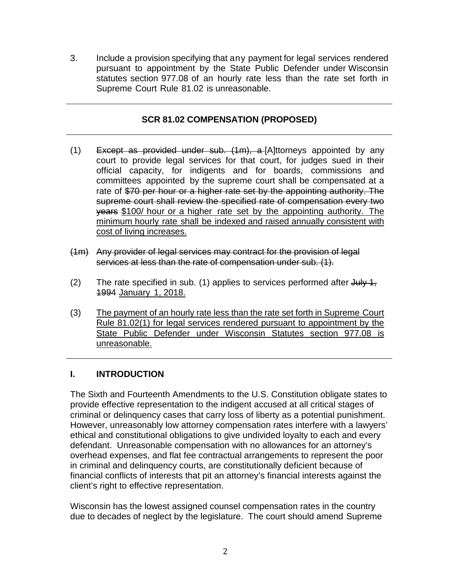3. Include a provision specifying that any payment for legal services rendered pursuant to appointment by the State Public Defender under Wisconsin statutes section 977.08 of an hourly rate less than the rate set forth in Supreme Court Rule 81.02 is unreasonable.

### **SCR 81.02 COMPENSATION (PROPOSED)**

- (1) Except as provided under sub.  $(1m)$ , a [A]ttorneys appointed by any court to provide legal services for that court, for judges sued in their official capacity, for indigents and for boards, commissions and committees appointed by the supreme court shall be compensated at a rate of \$70 per hour or a higher rate set by the appointing authority. The supreme court shall review the specified rate of compensation every two years \$100/ hour or a higher rate set by the appointing authority. The minimum hourly rate shall be indexed and raised annually consistent with cost of living increases.
- (1m) Any provider of legal services may contract for the provision of legal services at less than the rate of compensation under sub. (1).
- (2) The rate specified in sub. (1) applies to services performed after  $J u / J$ , 1994 January 1, 2018.
- (3) The payment of an hourly rate less than the rate set forth in Supreme Court Rule 81.02(1) for legal services rendered pursuant to appointment by the State Public Defender under Wisconsin Statutes section 977.08 is unreasonable.

## **I. INTRODUCTION**

The Sixth and Fourteenth Amendments to the U.S. Constitution obligate states to provide effective representation to the indigent accused at all critical stages of criminal or delinquency cases that carry loss of liberty as a potential punishment. However, unreasonably low attorney compensation rates interfere with a lawyers' ethical and constitutional obligations to give undivided loyalty to each and every defendant. Unreasonable compensation with no allowances for an attorney's overhead expenses, and flat fee contractual arrangements to represent the poor in criminal and delinquency courts, are constitutionally deficient because of financial conflicts of interests that pit an attorney's financial interests against the client's right to effective representation.

Wisconsin has the lowest assigned counsel compensation rates in the country due to decades of neglect by the legislature. The court should amend Supreme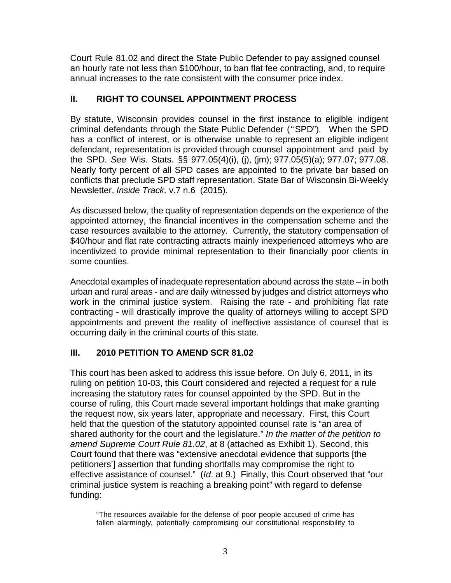Court Rule 81.02 and direct the State Public Defender to pay assigned counsel an hourly rate not less than \$100/hour, to ban flat fee contracting, and, to require annual increases to the rate consistent with the consumer price index.

#### **II. RIGHT TO COUNSEL APPOINTMENT PROCESS**

By statute, Wisconsin provides counsel in the first instance to eligible indigent criminal defendants through the State Public Defender ("SPD"). When the SPD has a conflict of interest, or is otherwise unable to represent an eligible indigent defendant, representation is provided through counsel appointment and paid by the SPD. *See* Wis. Stats. §§ 977.05(4)(i), (j), (jm); 977.05(5)(a); 977.07; 977.08. Nearly forty percent of all SPD cases are appointed to the private bar based on conflicts that preclude SPD staff representation. State Bar of Wisconsin Bi-Weekly Newsletter, *Inside Track,* v.7 n.6 (2015).

As discussed below, the quality of representation depends on the experience of the appointed attorney, the financial incentives in the compensation scheme and the case resources available to the attorney. Currently, the statutory compensation of \$40/hour and flat rate contracting attracts mainly inexperienced attorneys who are incentivized to provide minimal representation to their financially poor clients in some counties.

Anecdotal examples of inadequate representation abound across the state – in both urban and rural areas - and are daily witnessed by judges and district attorneys who work in the criminal justice system. Raising the rate - and prohibiting flat rate contracting - will drastically improve the quality of attorneys willing to accept SPD appointments and prevent the reality of ineffective assistance of counsel that is occurring daily in the criminal courts of this state.

## **III. 2010 PETITION TO AMEND SCR 81.02**

This court has been asked to address this issue before. On July 6, 2011, in its ruling on petition 10-03, this Court considered and rejected a request for a rule increasing the statutory rates for counsel appointed by the SPD. But in the course of ruling, this Court made several important holdings that make granting the request now, six years later, appropriate and necessary. First, this Court held that the question of the statutory appointed counsel rate is "an area of shared authority for the court and the legislature." *In the matter of the petition to amend Supreme Court Rule 81.02*, at 8 (attached as Exhibit 1). Second, this Court found that there was "extensive anecdotal evidence that supports [the petitioners'] assertion that funding shortfalls may compromise the right to effective assistance of counsel." (*Id*. at 9.) Finally, this Court observed that "our criminal justice system is reaching a breaking point" with regard to defense funding:

"The resources available for the defense of poor people accused of crime has fallen alarmingly, potentially compromising our constitutional responsibility to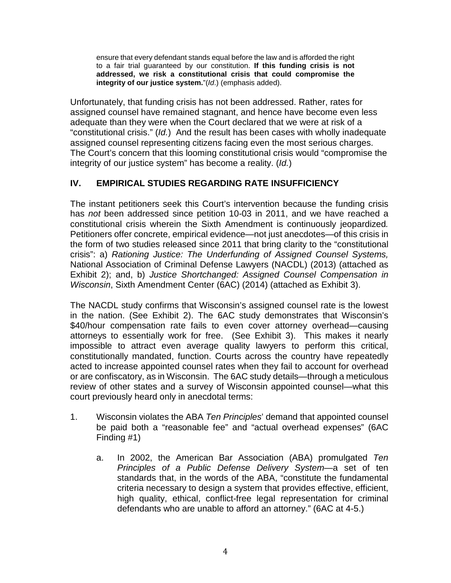ensure that every defendant stands equal before the law and is afforded the right to a fair trial guaranteed by our constitution. **If this funding crisis is not addressed, we risk a constitutional crisis that could compromise the integrity of our justice system.**"(*Id*.) (emphasis added).

Unfortunately, that funding crisis has not been addressed. Rather, rates for assigned counsel have remained stagnant, and hence have become even less adequate than they were when the Court declared that we were at risk of a "constitutional crisis." (*Id.*) And the result has been cases with wholly inadequate assigned counsel representing citizens facing even the most serious charges. The Court's concern that this looming constitutional crisis would "compromise the integrity of our justice system" has become a reality. (*Id.*)

## **IV. EMPIRICAL STUDIES REGARDING RATE INSUFFICIENCY**

The instant petitioners seek this Court's intervention because the funding crisis has *not* been addressed since petition 10-03 in 2011, and we have reached a constitutional crisis wherein the Sixth Amendment is continuously jeopardized*.* Petitioners offer concrete, empirical evidence—not just anecdotes—of this crisis in the form of two studies released since 2011 that bring clarity to the "constitutional crisis": a) *Rationing Justice: The Underfunding of Assigned Counsel Systems,* National Association of Criminal Defense Lawyers (NACDL) (2013) (attached as Exhibit 2); and, b) *Justice Shortchanged: Assigned Counsel Compensation in Wisconsin*, Sixth Amendment Center (6AC) (2014) (attached as Exhibit 3).

The NACDL study confirms that Wisconsin's assigned counsel rate is the lowest in the nation. (See Exhibit 2). The 6AC study demonstrates that Wisconsin's \$40/hour compensation rate fails to even cover attorney overhead—causing attorneys to essentially work for free. (See Exhibit 3). This makes it nearly impossible to attract even average quality lawyers to perform this critical, constitutionally mandated, function. Courts across the country have repeatedly acted to increase appointed counsel rates when they fail to account for overhead or are confiscatory, as in Wisconsin. The 6AC study details—through a meticulous review of other states and a survey of Wisconsin appointed counsel—what this court previously heard only in anecdotal terms:

- 1. Wisconsin violates the ABA *Ten Principles*' demand that appointed counsel be paid both a "reasonable fee" and "actual overhead expenses" (6AC Finding #1)
	- a. In 2002, the American Bar Association (ABA) promulgated *Ten Principles of a Public Defense Delivery System*—a set of ten standards that, in the words of the ABA, "constitute the fundamental criteria necessary to design a system that provides effective, efficient, high quality, ethical, conflict-free legal representation for criminal defendants who are unable to afford an attorney." (6AC at 4-5.)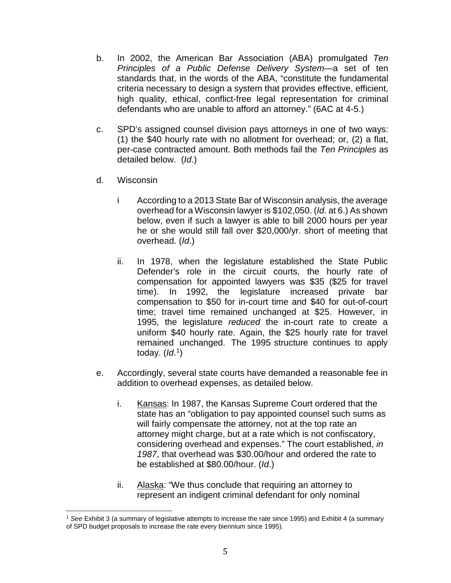- b. In 2002, the American Bar Association (ABA) promulgated *Ten Principles of a Public Defense Delivery System*—a set of ten standards that, in the words of the ABA, "constitute the fundamental criteria necessary to design a system that provides effective, efficient, high quality, ethical, conflict-free legal representation for criminal defendants who are unable to afford an attorney." (6AC at 4-5.)
- c. SPD's assigned counsel division pays attorneys in one of two ways: (1) the \$40 hourly rate with no allotment for overhead; or, (2) a flat, per-case contracted amount. Both methods fail the *Ten Principles* as detailed below. (*Id*.)
- d. Wisconsin
	- i According to a 2013 State Bar of Wisconsin analysis, the average overhead for a Wisconsin lawyer is \$102,050. (*Id*. at 6.) As shown below, even if such a lawyer is able to bill 2000 hours per year he or she would still fall over \$20,000/yr. short of meeting that overhead. (*Id*.)
	- ii. In 1978, when the legislature established the State Public Defender's role in the circuit courts, the hourly rate of compensation for appointed lawyers was \$35 (\$25 for travel time). In 1992, the legislature increased private bar compensation to \$50 for in-court time and \$40 for out-of-court time; travel time remained unchanged at \$25. However, in 1995, the legislature *reduced* the in-court rate to create a uniform \$40 hourly rate. Again, the \$25 hourly rate for travel remained unchanged. The 1995 structure continues to apply today. (*Id*. [1\)](#page-4-0)
- e. Accordingly, several state courts have demanded a reasonable fee in addition to overhead expenses, as detailed below.
	- i. Kansas: In 1987, the Kansas Supreme Court ordered that the state has an "obligation to pay appointed counsel such sums as will fairly compensate the attorney, not at the top rate an attorney might charge, but at a rate which is not confiscatory, considering overhead and expenses." The court established, *in 1987*, that overhead was \$30.00/hour and ordered the rate to be established at \$80.00/hour. (*Id*.)
	- ii. Alaska: "We thus conclude that requiring an attorney to represent an indigent criminal defendant for only nominal

<span id="page-4-0"></span><sup>1</sup> *See* Exhibit 3 (a summary of legislative attempts to increase the rate since 1995) and Exhibit 4 (a summary of SPD budget proposals to increase the rate every biennium since 1995).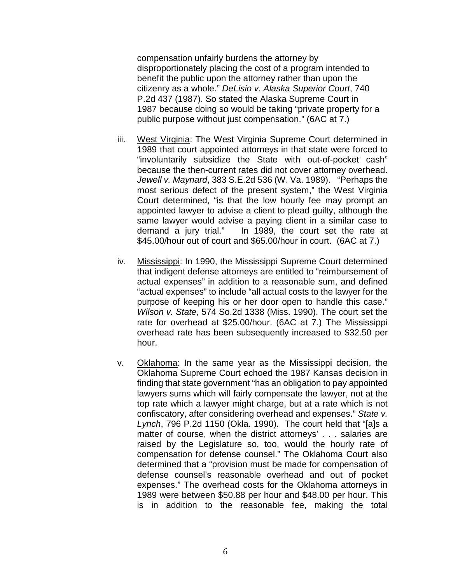compensation unfairly burdens the attorney by disproportionately placing the cost of a program intended to benefit the public upon the attorney rather than upon the citizenry as a whole." *DeLisio v. Alaska Superior Court*, 740 P.2d 437 (1987). So stated the Alaska Supreme Court in 1987 because doing so would be taking "private property for a public purpose without just compensation." (6AC at 7.)

- iii. West Virginia: The West Virginia Supreme Court determined in 1989 that court appointed attorneys in that state were forced to "involuntarily subsidize the State with out-of-pocket cash" because the then-current rates did not cover attorney overhead. *Jewell v. Maynard*, 383 S.E.2d 536 (W. Va. 1989). "Perhaps the most serious defect of the present system," the West Virginia Court determined, "is that the low hourly fee may prompt an appointed lawyer to advise a client to plead guilty, although the same lawyer would advise a paying client in a similar case to demand a jury trial." In 1989, the court set the rate at In 1989, the court set the rate at \$45.00/hour out of court and \$65.00/hour in court. (6AC at 7.)
- iv. Mississippi: In 1990, the Mississippi Supreme Court determined that indigent defense attorneys are entitled to "reimbursement of actual expenses" in addition to a reasonable sum, and defined "actual expenses" to include "all actual costs to the lawyer for the purpose of keeping his or her door open to handle this case." *Wilson v. State*, 574 So.2d 1338 (Miss. 1990). The court set the rate for overhead at \$25.00/hour. (6AC at 7.) The Mississippi overhead rate has been subsequently increased to \$32.50 per hour.
- v. Oklahoma: In the same year as the Mississippi decision, the Oklahoma Supreme Court echoed the 1987 Kansas decision in finding that state government "has an obligation to pay appointed lawyers sums which will fairly compensate the lawyer, not at the top rate which a lawyer might charge, but at a rate which is not confiscatory, after considering overhead and expenses." *State v. Lynch*, 796 P.2d 1150 (Okla. 1990). The court held that "[a]s a matter of course, when the district attorneys' . . . salaries are raised by the Legislature so, too, would the hourly rate of compensation for defense counsel." The Oklahoma Court also determined that a "provision must be made for compensation of defense counsel's reasonable overhead and out of pocket expenses." The overhead costs for the Oklahoma attorneys in 1989 were between \$50.88 per hour and \$48.00 per hour. This is in addition to the reasonable fee, making the total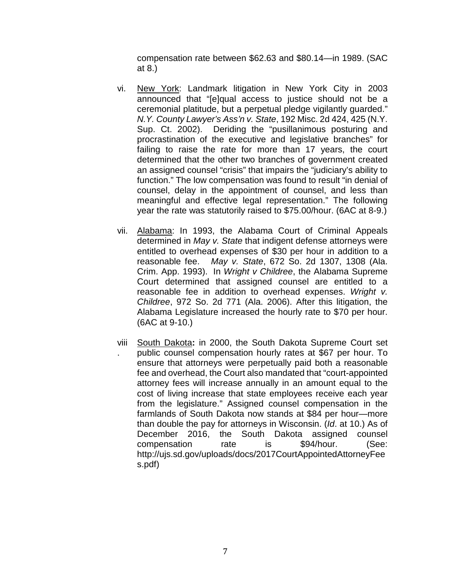compensation rate between \$62.63 and \$80.14—in 1989. (SAC at 8.)

- vi. New York: Landmark litigation in New York City in 2003 announced that "[e]qual access to justice should not be a ceremonial platitude, but a perpetual pledge vigilantly guarded." *N.Y. County Lawyer's Ass'n v. State*, 192 Misc. 2d 424, 425 (N.Y. Sup. Ct. 2002). Deriding the "pusillanimous posturing and procrastination of the executive and legislative branches" for failing to raise the rate for more than 17 years, the court determined that the other two branches of government created an assigned counsel "crisis" that impairs the "judiciary's ability to function." The low compensation was found to result "in denial of counsel, delay in the appointment of counsel, and less than meaningful and effective legal representation." The following year the rate was statutorily raised to \$75.00/hour. (6AC at 8-9.)
- vii. Alabama: In 1993, the Alabama Court of Criminal Appeals determined in *May v. State* that indigent defense attorneys were entitled to overhead expenses of \$30 per hour in addition to a reasonable fee. *May v. State*, 672 So. 2d 1307, 1308 (Ala. Crim. App. 1993). In *Wright v Childree*, the Alabama Supreme Court determined that assigned counsel are entitled to a reasonable fee in addition to overhead expenses. *Wright v. Childree*, 972 So. 2d 771 (Ala. 2006). After this litigation, the Alabama Legislature increased the hourly rate to \$70 per hour. (6AC at 9-10.)
- viii . South Dakota**:** in 2000, the South Dakota Supreme Court set public counsel compensation hourly rates at \$67 per hour. To ensure that attorneys were perpetually paid both a reasonable fee and overhead, the Court also mandated that "court-appointed attorney fees will increase annually in an amount equal to the cost of living increase that state employees receive each year from the legislature." Assigned counsel compensation in the farmlands of South Dakota now stands at \$84 per hour—more than double the pay for attorneys in Wisconsin. (*Id*. at 10.) As of December 2016, the South Dakota assigned counsel compensation rate is \$94/hour. (See: http://ujs.sd.gov/uploads/docs/2017CourtAppointedAttorneyFee s.pdf)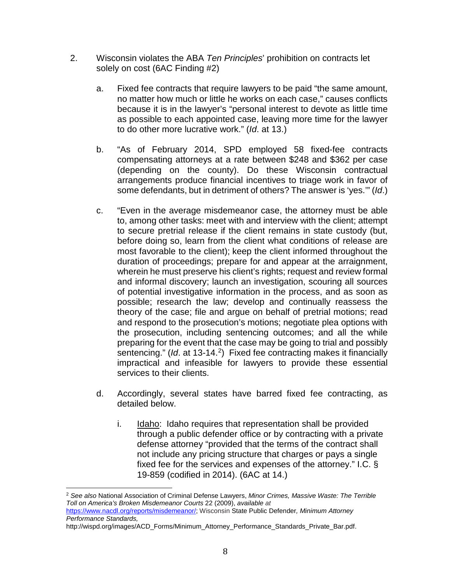- 2. Wisconsin violates the ABA *Ten Principles*' prohibition on contracts let solely on cost (6AC Finding #2)
	- a. Fixed fee contracts that require lawyers to be paid "the same amount, no matter how much or little he works on each case," causes conflicts because it is in the lawyer's "personal interest to devote as little time as possible to each appointed case, leaving more time for the lawyer to do other more lucrative work." (*Id*. at 13.)
	- b. "As of February 2014, SPD employed 58 fixed-fee contracts compensating attorneys at a rate between \$248 and \$362 per case (depending on the county). Do these Wisconsin contractual arrangements produce financial incentives to triage work in favor of some defendants, but in detriment of others? The answer is 'yes.'" (*Id*.)
	- c. "Even in the average misdemeanor case, the attorney must be able to, among other tasks: meet with and interview with the client; attempt to secure pretrial release if the client remains in state custody (but, before doing so, learn from the client what conditions of release are most favorable to the client); keep the client informed throughout the duration of proceedings; prepare for and appear at the arraignment, wherein he must preserve his client's rights; request and review formal and informal discovery; launch an investigation, scouring all sources of potential investigative information in the process, and as soon as possible; research the law; develop and continually reassess the theory of the case; file and argue on behalf of pretrial motions; read and respond to the prosecution's motions; negotiate plea options with the prosecution, including sentencing outcomes; and all the while preparing for the event that the case may be going to trial and possibly sentencing." (*Id*. at 13-14.[2\)](#page-7-0) Fixed fee contracting makes it financially impractical and infeasible for lawyers to provide these essential services to their clients.
	- d. Accordingly, several states have barred fixed fee contracting, as detailed below.
		- i. Idaho: Idaho requires that representation shall be provided through a public defender office or by contracting with a private defense attorney "provided that the terms of the contract shall not include any pricing structure that charges or pays a single fixed fee for the services and expenses of the attorney." I.C. § 19-859 (codified in 2014). (6AC at 14.)

http://wispd.org/images/ACD\_Forms/Minimum\_Attorney\_Performance\_Standards\_Private\_Bar.pdf.

<span id="page-7-0"></span><sup>2</sup> *See also* National Association of Criminal Defense Lawyers, *Minor Crimes, Massive Waste: The Terrible Toll on America's Broken Misdemeanor Courts* 22 (2009), *available at*

https://www.nacdl.org/reports/misdemeanor/; Wisconsin State Public Defender*, Minimum Attorney Performance Standards,*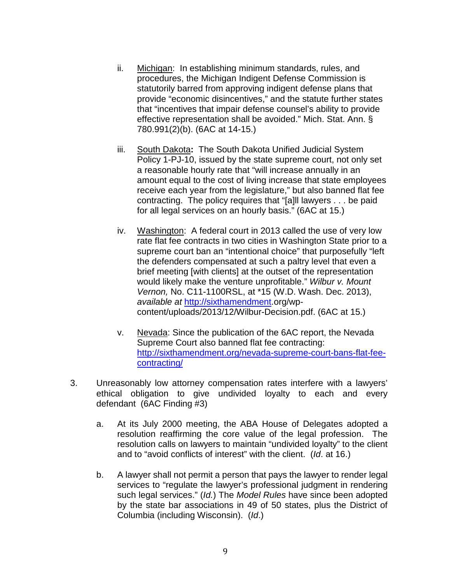- ii. Michigan: In establishing minimum standards, rules, and procedures, the Michigan Indigent Defense Commission is statutorily barred from approving indigent defense plans that provide "economic disincentives," and the statute further states that "incentives that impair defense counsel's ability to provide effective representation shall be avoided." Mich. Stat. Ann. § 780.991(2)(b). (6AC at 14-15.)
- iii. South Dakota**:** The South Dakota Unified Judicial System Policy 1-PJ-10, issued by the state supreme court, not only set a reasonable hourly rate that "will increase annually in an amount equal to the cost of living increase that state employees receive each year from the legislature," but also banned flat fee contracting. The policy requires that "[a]ll lawyers . . . be paid for all legal services on an hourly basis." (6AC at 15.)
- iv. Washington: A federal court in 2013 called the use of very low rate flat fee contracts in two cities in Washington State prior to a supreme court ban an "intentional choice" that purposefully "left the defenders compensated at such a paltry level that even a brief meeting [with clients] at the outset of the representation would likely make the venture unprofitable." *Wilbur v. Mount Vernon,* No. C11-1100RSL, at \*15 (W.D. Wash. Dec. 2013), *available at* http://sixthamendment.org/wpcontent/uploads/2013/12/Wilbur-Decision.pdf. (6AC at 15.)
- v. Nevada: Since the publication of the 6AC report, the Nevada Supreme Court also banned flat fee contracting: [http://sixthamendment.org/nevada-supreme-court-bans-flat-fee](http://sixthamendment.org/nevada-supreme-court-bans-flat-fee-contracting/)[contracting/](http://sixthamendment.org/nevada-supreme-court-bans-flat-fee-contracting/)
- 3. Unreasonably low attorney compensation rates interfere with a lawyers' ethical obligation to give undivided loyalty to each and every defendant (6AC Finding #3)
	- a. At its July 2000 meeting, the ABA House of Delegates adopted a resolution reaffirming the core value of the legal profession. The resolution calls on lawyers to maintain "undivided loyalty" to the client and to "avoid conflicts of interest" with the client. (*Id*. at 16.)
	- b. A lawyer shall not permit a person that pays the lawyer to render legal services to "regulate the lawyer's professional judgment in rendering such legal services." (*Id.*) The *Model Rules* have since been adopted by the state bar associations in 49 of 50 states, plus the District of Columbia (including Wisconsin). (*Id*.)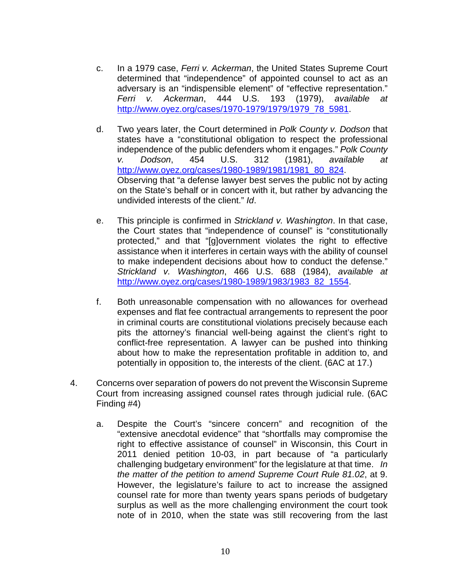- c. In a 1979 case, *Ferri v. Ackerman*, the United States Supreme Court determined that "independence" of appointed counsel to act as an adversary is an "indispensible element" of "effective representation." *Ferri v. Ackerman*, 444 U.S. 193 (1979), *available at* http://www.oyez.org/cases/1970-1979/1979/1979\_78\_5981.
- d. Two years later, the Court determined in *Polk County v. Dodson* that states have a "constitutional obligation to respect the professional independence of the public defenders whom it engages." *Polk County v. Dodson*, 454 U.S. 312 (1981), *available at* http://www.oyez.org/cases/1980-1989/1981/1981\_80\_824. Observing that "a defense lawyer best serves the public not by acting on the State's behalf or in concert with it, but rather by advancing the undivided interests of the client." *Id*.
- e. This principle is confirmed in *Strickland v. Washington*. In that case, the Court states that "independence of counsel" is "constitutionally protected," and that "[g]overnment violates the right to effective assistance when it interferes in certain ways with the ability of counsel to make independent decisions about how to conduct the defense." *Strickland v. Washington*, 466 U.S. 688 (1984), *available at* [http://www.oyez.org/cases/1980-1989/1983/1983\\_82\\_1554.](http://www.oyez.org/cases/1980-1989/1983/1983_82_1554)
- f. Both unreasonable compensation with no allowances for overhead expenses and flat fee contractual arrangements to represent the poor in criminal courts are constitutional violations precisely because each pits the attorney's financial well-being against the client's right to conflict-free representation. A lawyer can be pushed into thinking about how to make the representation profitable in addition to, and potentially in opposition to, the interests of the client. (6AC at 17.)
- 4. Concerns over separation of powers do not prevent the Wisconsin Supreme Court from increasing assigned counsel rates through judicial rule. (6AC Finding #4)
	- a. Despite the Court's "sincere concern" and recognition of the "extensive anecdotal evidence" that "shortfalls may compromise the right to effective assistance of counsel" in Wisconsin, this Court in 2011 denied petition 10-03, in part because of "a particularly challenging budgetary environment" for the legislature at that time. *In the matter of the petition to amend Supreme Court Rule 81.02*, at 9. However, the legislature's failure to act to increase the assigned counsel rate for more than twenty years spans periods of budgetary surplus as well as the more challenging environment the court took note of in 2010, when the state was still recovering from the last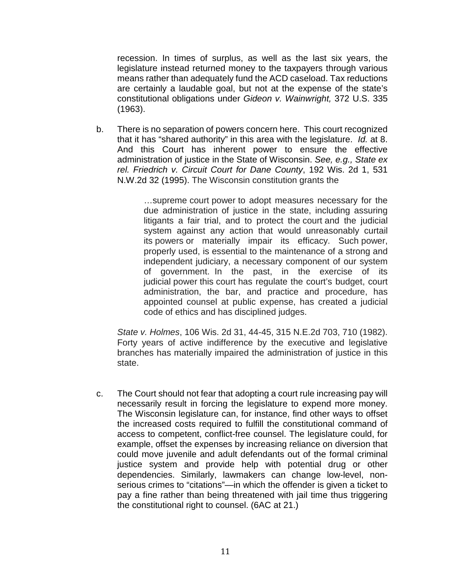recession. In times of surplus, as well as the last six years, the legislature instead returned money to the taxpayers through various means rather than adequately fund the ACD caseload. Tax reductions are certainly a laudable goal, but not at the expense of the state's constitutional obligations under *Gideon v. Wainwright,* 372 U.S. 335 (1963).

b. There is no separation of powers concern here. This court recognized that it has "shared authority" in this area with the legislature. *Id.* at 8. And this Court has inherent power to ensure the effective administration of justice in the State of Wisconsin. *See, e.g., State ex rel. Friedrich v. Circuit Court for Dane County*, 192 Wis. 2d 1, 531 N.W.2d 32 (1995). The Wisconsin constitution grants the

> …supreme court power to adopt measures necessary for the due administration of justice in the state, including assuring litigants a fair trial, and to protect the court and the judicial system against any action that would unreasonably curtail its powers or materially impair its efficacy. Such power, properly used, is essential to the maintenance of a strong and independent judiciary, a necessary component of our system of government. In the past, in the exercise of its judicial power this court has regulate the court's budget, court administration, the bar, and practice and procedure, has appointed counsel at public expense, has created a judicial code of ethics and has disciplined judges.

*State v. Holmes*, 106 Wis. 2d 31, 44-45, 315 N.E.2d 703, 710 (1982). Forty years of active indifference by the executive and legislative branches has materially impaired the administration of justice in this state.

c. The Court should not fear that adopting a court rule increasing pay will necessarily result in forcing the legislature to expend more money. The Wisconsin legislature can, for instance, find other ways to offset the increased costs required to fulfill the constitutional command of access to competent, conflict-free counsel. The legislature could, for example, offset the expenses by increasing reliance on diversion that could move juvenile and adult defendants out of the formal criminal justice system and provide help with potential drug or other dependencies. Similarly, lawmakers can change low-level, nonserious crimes to "citations"—in which the offender is given a ticket to pay a fine rather than being threatened with jail time thus triggering the constitutional right to counsel. (6AC at 21.)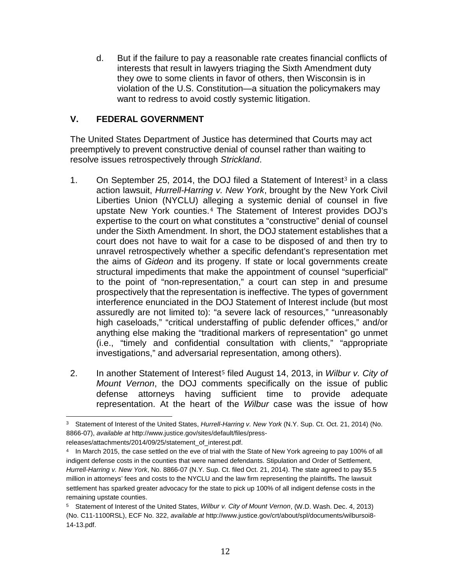d. But if the failure to pay a reasonable rate creates financial conflicts of interests that result in lawyers triaging the Sixth Amendment duty they owe to some clients in favor of others, then Wisconsin is in violation of the U.S. Constitution—a situation the policymakers may want to redress to avoid costly systemic litigation.

#### **V. FEDERAL GOVERNMENT**

The United States Department of Justice has determined that Courts may act preemptively to prevent constructive denial of counsel rather than waiting to resolve issues retrospectively through *Strickland*.

- 1. On September 25, 2014, the DOJ filed a Statement of Interest<sup>3</sup> in a class action lawsuit, *Hurrell-Harring v. New York*, brought by the Ne[w](#page-11-0) York Civil Liberties Union (NYCLU) a[lle](#page-11-1)ging a systemic denial of counsel in five upstate New York counties.<sup>4</sup> The Statement of Interest provides DOJ's expertise to the court on what constitutes a "constructive" denial of counsel under the Sixth Amendment. In short, the DOJ statement establishes that a court does not have to wait for a case to be disposed of and then try to unravel retrospectively whether a specific defendant's representation met the aims of *Gideon* and its progeny. If state or local governments create structural impediments that make the appointment of counsel "superficial" to the point of "non-representation," a court can step in and presume prospectively that the representation is ineffective. The types of government interference enunciated in the DOJ Statement of Interest include (but most assuredly are not limited to): "a severe lack of resources," "unreasonably high caseloads," "critical understaffing of public defender offices," and/or anything else making the "traditional markers of representation" go unmet (i.e., "timely and confidential consultation with clients," "appropriate investigations," and adversarial representation, among others).
- 2. In another Statement of Interest<sup>5</sup> filed August 14, 2013, in *Wilbur v. City of Mount Vernon*, the DOJ com[m](#page-11-2)ents specifically on the issue of public defense attorneys having sufficient time to provide adequate representation. At the heart of the *Wilbur* case was the issue of how

<span id="page-11-0"></span><sup>3</sup> Statement of Interest of the United States, *Hurrell-Harring v. New York* (N.Y. Sup. Ct. Oct. 21, 2014) (No. 8866-07), *available at* http://www.justice.gov/sites/default/files/press-

releases/attachments/2014/09/25/statement\_of\_interest.pdf.

<span id="page-11-1"></span><sup>4</sup> In March 2015, the case settled on the eve of trial with the State of New York agreeing to pay 100% of all indigent defense costs in the counties that were named defendants. Stipulation and Order of Settlement, *Hurrell-Harring v. New York*, No. 8866-07 (N.Y. Sup. Ct. filed Oct. 21, 2014). The state agreed to pay \$5.5 million in attorneys' fees and costs to the NYCLU and the law firm representing the plaintiffs**.** The lawsuit settlement has sparked greater advocacy for the state to pick up 100% of all indigent defense costs in the remaining upstate counties.

<span id="page-11-2"></span><sup>5</sup> Statement of Interest of the United States, *Wilbur v. City of Mount Vernon*, (W.D. Wash. Dec. 4, 2013) (No. C11-1100RSL), ECF No. 322, *available at* http://www.justice.gov/crt/about/spl/documents/wilbursoi8- 14-13.pdf.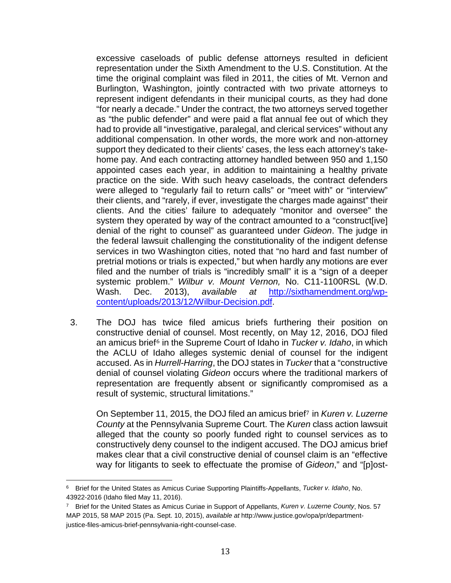excessive caseloads of public defense attorneys resulted in deficient representation under the Sixth Amendment to the U.S. Constitution. At the time the original complaint was filed in 2011, the cities of Mt. Vernon and Burlington, Washington, jointly contracted with two private attorneys to represent indigent defendants in their municipal courts, as they had done "for nearly a decade." Under the contract, the two attorneys served together as "the public defender" and were paid a flat annual fee out of which they had to provide all "investigative, paralegal, and clerical services" without any additional compensation. In other words, the more work and non-attorney support they dedicated to their clients' cases, the less each attorney's takehome pay. And each contracting attorney handled between 950 and 1,150 appointed cases each year, in addition to maintaining a healthy private practice on the side. With such heavy caseloads, the contract defenders were alleged to "regularly fail to return calls" or "meet with" or "interview" their clients, and "rarely, if ever, investigate the charges made against" their clients. And the cities' failure to adequately "monitor and oversee" the system they operated by way of the contract amounted to a "construct[ive] denial of the right to counsel" as guaranteed under *Gideon*. The judge in the federal lawsuit challenging the constitutionality of the indigent defense services in two Washington cities, noted that "no hard and fast number of pretrial motions or trials is expected," but when hardly any motions are ever filed and the number of trials is "incredibly small" it is a "sign of a deeper systemic problem." *Wilbur v. Mount Vernon,* No. C11-1100RSL (W.D. Wash. Dec. 2013), *available at* [http://sixthamendment.org/wp](http://sixthamendment.org/wp-content/uploads/2013/12/Wilbur-Decision.pdf)[content/uploads/2013/12/Wilbur-Decision.pdf.](http://sixthamendment.org/wp-content/uploads/2013/12/Wilbur-Decision.pdf)

3. The DOJ has twice filed amicus briefs furthering their position on constructive d[en](#page-12-0)ial of counsel. Most recently, on May 12, 2016, DOJ filed an amicus brief<sup>6</sup> in the Supreme Court of Idaho in *Tucker v. Idaho*, in which the ACLU of Idaho alleges systemic denial of counsel for the indigent accused. As in *Hurrell-Harring*, the DOJ states in *Tucker* that a "constructive denial of counsel violating *Gideon* occurs where the traditional markers of representation are frequently absent or significantly compromised as a result of systemic, structural limitations."

On September 11, 2015, the DOJ filed an amicus brief<sup>7</sup> in *Kuren v. Luzerne County* at the Pennsylvania Supreme Court. The *Kure[n](#page-12-1)* class action lawsuit alleged that the county so poorly funded right to counsel services as to constructively deny counsel to the indigent accused. The DOJ amicus brief makes clear that a civil constructive denial of counsel claim is an "effective way for litigants to seek to effectuate the promise of *Gideon*," and "[p]ost-

<span id="page-12-0"></span><sup>6</sup> Brief for the United States as Amicus Curiae Supporting Plaintiffs-Appellants, *Tucker v. Idaho*, No. 43922-2016 (Idaho filed May 11, 2016).

<span id="page-12-1"></span><sup>7</sup> Brief for the United States as Amicus Curiae in Support of Appellants, *Kuren v. Luzerne County*, Nos. 57 MAP 2015, 58 MAP 2015 (Pa. Sept. 10, 2015), *available at* http://www.justice.gov/opa/pr/departmentjustice-files-amicus-brief-pennsylvania-right-counsel-case.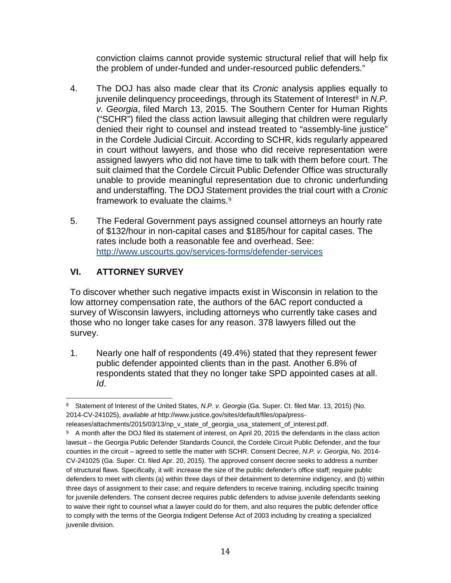conviction claims cannot provide systemic structural relief that will help fix the problem of under-funded and under-resourced public defenders."

- 4. The DOJ has also made clear that its *Cronic* analysis applies e[qu](#page-13-0)ally to juvenile delinguency proceedings, through its Statement of Interest<sup>8</sup> in *N.P. v. Georgia*, filed March 13, 2015. The Southern Center for Human Rights ("SCHR") filed the class action lawsuit alleging that children were regularly denied their right to counsel and instead treated to "assembly-line justice" in the Cordele Judicial Circuit. According to SCHR, kids regularly appeared in court without lawyers, and those who did receive representation were assigned lawyers who did not have time to talk with them before court. The suit claimed that the Cordele Circuit Public Defender Office was structurally unable to provide meaningful representation due to chronic underfunding and understaffing. The DOJ State[m](#page-13-1)ent provides the trial court with a *Cronic* framework to evaluate the claims.<sup>9</sup>
- 5. The Federal Government pays assigned counsel attorneys an hourly rate of \$132/hour in non-capital cases and \$185/hour for capital cases. The rates include both a reasonable fee and overhead. See: http://www.uscourts.gov/services-forms/defender-services

# **VI. ATTORNEY SURVEY**

To discover whether such negative impacts exist in Wisconsin in relation to the low attorney compensation rate, the authors of the 6AC report conducted a survey of Wisconsin lawyers, including attorneys who currently take cases and those who no longer take cases for any reason. 378 lawyers filled out the survey.

1. Nearly one half of respondents (49.4%) stated that they represent fewer public defender appointed clients than in the past. Another 6.8% of respondents stated that they no longer take SPD appointed cases at all. *Id*.

<span id="page-13-0"></span><sup>8</sup> Statement of Interest of the United States, *N.P. v. Georgia* (Ga. Super. Ct. filed Mar. 13, 2015) (No. 2014-CV-241025), *available at* http://www.justice.gov/sites/default/files/opa/press-

releases/attachments/2015/03/13/np\_v\_state\_of\_georgia\_usa\_statement\_of\_interest.pdf.

<span id="page-13-1"></span><sup>9</sup> A month after the DOJ filed its statement of interest, on April 20, 2015 the defendants in the class action lawsuit – the Georgia Public Defender Standards Council, the Cordele Circuit Public Defender, and the four counties in the circuit – agreed to settle the matter with SCHR. Consent Decree, *N.P. v. Georgia*, No. 2014- CV-241025 (Ga. Super. Ct. filed Apr. 20, 2015). The approved consent decree seeks to address a number of structural flaws. Specifically, it will: increase the size of the public defender's office staff; require public defenders to meet with clients (a) within three days of their detainment to determine indigency, and (b) within three days of assignment to their case; and require defenders to receive training, including specific training for juvenile defenders. The consent decree requires public defenders to advise juvenile defendants seeking to waive their right to counsel what a lawyer could do for them, and also requires the public defender office to comply with the terms of the Georgia Indigent Defense Act of 2003 including by creating a specialized juvenile division.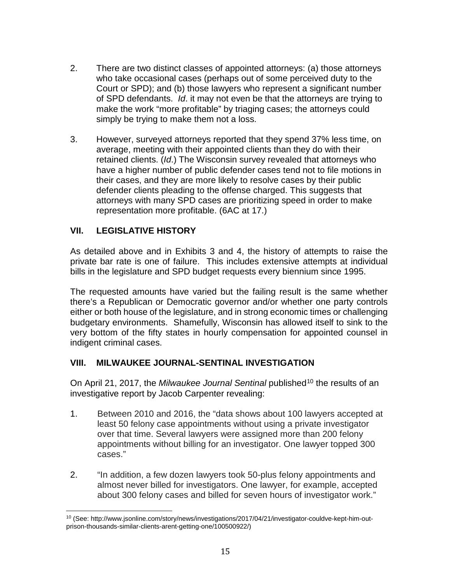- 2. There are two distinct classes of appointed attorneys: (a) those attorneys who take occasional cases (perhaps out of some perceived duty to the Court or SPD); and (b) those lawyers who represent a significant number of SPD defendants. *Id*. it may not even be that the attorneys are trying to make the work "more profitable" by triaging cases; the attorneys could simply be trying to make them not a loss.
- 3. However, surveyed attorneys reported that they spend 37% less time, on average, meeting with their appointed clients than they do with their retained clients. (*Id*.) The Wisconsin survey revealed that attorneys who have a higher number of public defender cases tend not to file motions in their cases, and they are more likely to resolve cases by their public defender clients pleading to the offense charged. This suggests that attorneys with many SPD cases are prioritizing speed in order to make representation more profitable. (6AC at 17.)

### **VII. LEGISLATIVE HISTORY**

As detailed above and in Exhibits 3 and 4, the history of attempts to raise the private bar rate is one of failure. This includes extensive attempts at individual bills in the legislature and SPD budget requests every biennium since 1995.

The requested amounts have varied but the failing result is the same whether there's a Republican or Democratic governor and/or whether one party controls either or both house of the legislature, and in strong economic times or challenging budgetary environments. Shamefully, Wisconsin has allowed itself to sink to the very bottom of the fifty states in hourly compensation for appointed counsel in indigent criminal cases.

#### **VIII. MILWAUKEE JOURNAL-SENTINAL INVESTIGATION**

On April 21, 2017, the *Milwaukee Journal Sentinal* published<sup>[10](#page-14-0)</sup> the results of an investigative report by Jacob Carpenter revealing:

- 1. Between 2010 and 2016, the "data shows about 100 lawyers accepted at least 50 felony case appointments without using a private investigator over that time. Several lawyers were assigned more than 200 felony appointments without billing for an investigator. One lawyer topped 300 cases."
- 2. "In addition, a few dozen lawyers took 50-plus felony appointments and almost never billed for investigators. One lawyer, for example, accepted about 300 felony cases and billed for seven hours of investigator work."

<span id="page-14-0"></span><sup>10</sup> (See: http://www.jsonline.com/story/news/investigations/2017/04/21/investigator-couldve-kept-him-outprison-thousands-similar-clients-arent-getting-one/100500922/)